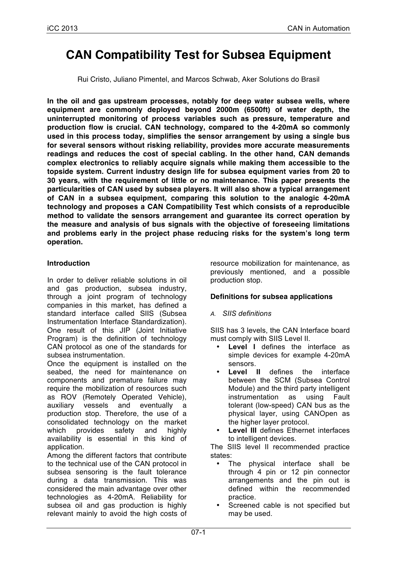# **CAN Compatibility Test for Subsea Equipment**

Rui Cristo, Juliano Pimentel, and Marcos Schwab, Aker Solutions do Brasil

**In the oil and gas upstream processes, notably for deep water subsea wells, where equipment are commonly deployed beyond 2000m (6500ft) of water depth, the uninterrupted monitoring of process variables such as pressure, temperature and production flow is crucial. CAN technology, compared to the 4-20mA so commonly used in this process today, simplifies the sensor arrangement by using a single bus for several sensors without risking reliability, provides more accurate measurements readings and reduces the cost of special cabling. In the other hand, CAN demands complex electronics to reliably acquire signals while making them accessible to the topside system. Current industry design life for subsea equipment varies from 20 to 30 years, with the requirement of little or no maintenance. This paper presents the particularities of CAN used by subsea players. It will also show a typical arrangement of CAN in a subsea equipment, comparing this solution to the analogic 4-20mA technology and proposes a CAN Compatibility Test which consists of a reproducible method to validate the sensors arrangement and guarantee its correct operation by the measure and analysis of bus signals with the objective of foreseeing limitations and problems early in the project phase reducing risks for the system's long term operation.**

### **Introduction**

In order to deliver reliable solutions in oil and gas production, subsea industry, through a joint program of technology companies in this market, has defined a standard interface called SIIS (Subsea Instrumentation Interface Standardization). One result of this JIP (Joint Initiative Program) is the definition of technology CAN protocol as one of the standards for subsea instrumentation.

Once the equipment is installed on the seabed, the need for maintenance on components and premature failure may require the mobilization of resources such as ROV (Remotely Operated Vehicle), auxiliary vessels and eventually a production stop. Therefore, the use of a consolidated technology on the market which provides safety and highly availability is essential in this kind of application.

Among the different factors that contribute to the technical use of the CAN protocol in subsea sensoring is the fault tolerance during a data transmission. This was considered the main advantage over other technologies as 4-20mA. Reliability for subsea oil and gas production is highly relevant mainly to avoid the high costs of

resource mobilization for maintenance, as previously mentioned, and a possible production stop.

# **Definitions for subsea applications**

### *A. SIIS definitions*

SIIS has 3 levels, the CAN Interface board must comply with SIIS Level II.

- **Level I** defines the interface as simple devices for example 4-20mA sensors.
- **Level II** defines the interface between the SCM (Subsea Control Module) and the third party intelligent instrumentation as using Fault tolerant (low-speed) CAN bus as the physical layer, using CANOpen as the higher layer protocol.
- **Level III** defines Ethernet interfaces to intelligent devices.

The SIIS level II recommended practice states:

- The physical interface shall be through 4 pin or 12 pin connector arrangements and the pin out is defined within the recommended practice.
- Screened cable is not specified but may be used.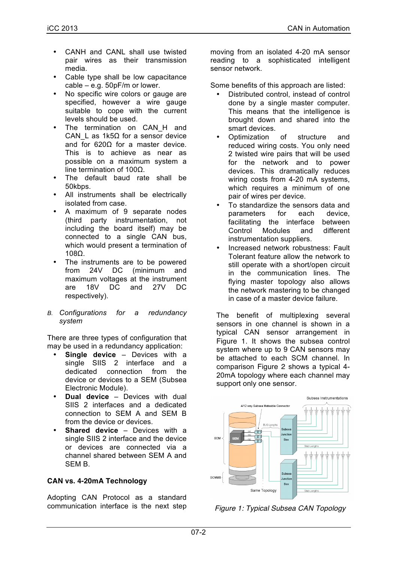- CANH and CANL shall use twisted pair wires as their transmission media.
- Cable type shall be low capacitance cable – e.g. 50pF/m or lower.
- No specific wire colors or gauge are specified, however a wire gauge suitable to cope with the current levels should be used.
- The termination on CAN H and CAN L as 1k5Ω for a sensor device and for 620Ω for a master device. This is to achieve as near as possible on a maximum system a line termination of 100Ω.
- The default baud rate shall be 50kbps.
- All instruments shall be electrically isolated from case.
- A maximum of 9 separate nodes (third party instrumentation, not including the board itself) may be connected to a single CAN bus, which would present a termination of 108Ω.
- The instruments are to be powered<br>from 24V DC (minimum and from 24V DC (minimum and maximum voltages at the instrument are 18V DC and 27V DC respectively).
- *B. Configurations for a redundancy system*

There are three types of configuration that may be used in a redundancy application:

- **Single device Devices with a** single SIIS 2 interface and a dedicated connection from the device or devices to a SEM (Subsea Electronic Module).
- **Dual device** Devices with dual SIIS 2 interfaces and a dedicated connection to SEM A and SEM B from the device or devices.
- **Shared device Devices with a** single SIIS 2 interface and the device or devices are connected via a channel shared between SEM A and SEM B.

### **CAN vs. 4-20mA Technology**

Adopting CAN Protocol as a standard communication interface is the next step moving from an isolated 4-20 mA sensor reading to a sophisticated intelligent sensor network.

Some benefits of this approach are listed:

- Distributed control, instead of control done by a single master computer. This means that the intelligence is brought down and shared into the smart devices.
- Optimization of structure and reduced wiring costs. You only need 2 twisted wire pairs that will be used for the network and to power devices. This dramatically reduces wiring costs from 4-20 mA systems. which requires a minimum of one pair of wires per device.
- To standardize the sensors data and<br>
narameters for each device. parameters for each facilitating the interface between Control Modules and different instrumentation suppliers.
- Increased network robustness: Fault Tolerant feature allow the network to still operate with a short/open circuit in the communication lines. The flying master topology also allows the network mastering to be changed in case of a master device failure.

The benefit of multiplexing several sensors in one channel is shown in a typical CAN sensor arrangement in Figure 1. It shows the subsea control system where up to 9 CAN sensors may be attached to each SCM channel. In comparison Figure 2 shows a typical 4- 20mA topology where each channel may support only one sensor.



*Figure 1: Typical Subsea CAN Topology*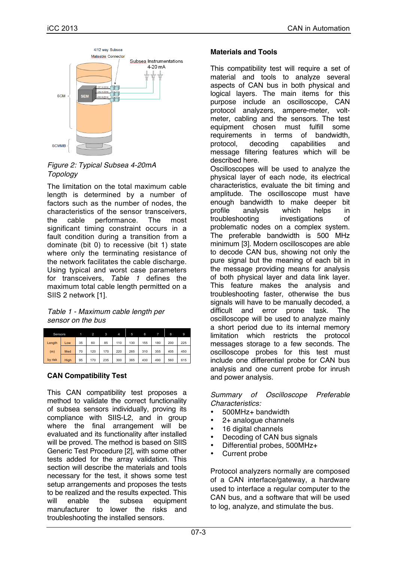

*Figure 2: Typical Subsea 4-20mA Topology*

The limitation on the total maximum cable length is determined by a number of factors such as the number of nodes, the characteristics of the sensor transceivers, the cable performance. The most significant timing constraint occurs in a fault condition during a transition from a dominate (bit 0) to recessive (bit 1) state where only the terminating resistance of the network facilitates the cable discharge. Using typical and worst case parameters for transceivers, *Table 1* defines the maximum total cable length permitted on a SIIS 2 network [1].

*Table 1 - Maximum cable length per sensor on the bus*

| <b>Sensors</b> |      |    |     | 3   | 4   | 5   | 6   |     | 8   | 9   |
|----------------|------|----|-----|-----|-----|-----|-----|-----|-----|-----|
| Length         | Low  | 35 | 60  | 85  | 110 | 130 | 155 | 180 | 200 | 225 |
| (m)            | Med  | 70 | 120 | 170 | 220 | 265 | 310 | 355 | 405 | 450 |
| by risk        | High | 95 | 170 | 235 | 300 | 365 | 430 | 490 | 560 | 615 |

### **CAN Compatibility Test**

This CAN compatibility test proposes a method to validate the correct functionality of subsea sensors individually, proving its compliance with SIIS-L2, and in group where the final arrangement will be evaluated and its functionality after installed will be proved. The method is based on SIIS Generic Test Procedure [2], with some other tests added for the array validation. This section will describe the materials and tools necessary for the test, it shows some test setup arrangements and proposes the tests to be realized and the results expected. This will enable the subsea equipment manufacturer to lower the risks and troubleshooting the installed sensors.

### **Materials and Tools**

This compatibility test will require a set of material and tools to analyze several aspects of CAN bus in both physical and logical layers. The main items for this purpose include an oscilloscope, CAN protocol analyzers, ampere-meter, voltmeter, cabling and the sensors. The test equipment chosen must fulfill some<br>requirements in terms of bandwidth. requirements in terms of bandwidth, protocol, decoding capabilities and message filtering features which will be described here.

Oscilloscopes will be used to analyze the physical layer of each node, its electrical characteristics, evaluate the bit timing and amplitude. The oscilloscope must have enough bandwidth to make deeper bit profile analysis which helps in troubleshooting investigations of problematic nodes on a complex system. The preferable bandwidth is 500 MHz minimum [3]. Modern oscilloscopes are able to decode CAN bus, showing not only the pure signal but the meaning of each bit in the message providing means for analysis of both physical layer and data link layer. This feature makes the analysis and troubleshooting faster, otherwise the bus signals will have to be manually decoded, a difficult and error prone task. The oscilloscope will be used to analyze mainly a short period due to its internal memory limitation which restricts the protocol messages storage to a few seconds. The oscilloscope probes for this test must include one differential probe for CAN bus analysis and one current probe for inrush and power analysis.

#### *Summary of Oscilloscope Preferable Characteristics:*

- 500MHz+ bandwidth
- 2+ analogue channels
- 16 digital channels
- Decoding of CAN bus signals
- Differential probes, 500MHz+
- Current probe

Protocol analyzers normally are composed of a CAN interface/gateway, a hardware used to interface a regular computer to the CAN bus, and a software that will be used to log, analyze, and stimulate the bus.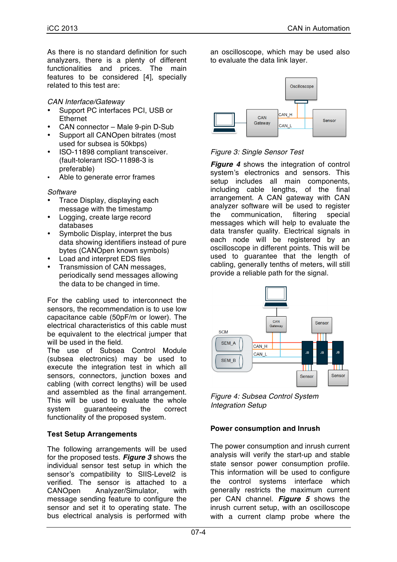As there is no standard definition for such analyzers, there is a plenty of different functionalities and prices. The main features to be considered [4], specially related to this test are:

*CAN Interface/Gateway*

- Support PC interfaces PCI, USB or Ethernet
- CAN connector Male 9-pin D-Sub
- Support all CANOpen bitrates (most used for subsea is 50kbps)
- ISO-11898 compliant transceiver. (fault-tolerant ISO-11898-3 is preferable)
- Able to generate error frames

#### *Software*

- Trace Display, displaying each message with the timestamp
- Logging, create large record databases
- Symbolic Display, interpret the bus data showing identifiers instead of pure bytes (CANOpen known symbols)
- Load and interpret EDS files
- Transmission of CAN messages, periodically send messages allowing the data to be changed in time.

For the cabling used to interconnect the sensors, the recommendation is to use low capacitance cable (50pF/m or lower). The electrical characteristics of this cable must be equivalent to the electrical jumper that will be used in the field.

The use of Subsea Control Module (subsea electronics) may be used to execute the integration test in which all sensors, connectors, junction boxes and cabling (with correct lengths) will be used and assembled as the final arrangement. This will be used to evaluate the whole system quaranteeing the correct functionality of the proposed system.

# **Test Setup Arrangements**

The following arrangements will be used for the proposed tests. *Figure 3* shows the individual sensor test setup in which the sensor's compatibility to SIIS-Level2 is verified. The sensor is attached to a CANOpen Analyzer/Simulator, with message sending feature to configure the sensor and set it to operating state. The bus electrical analysis is performed with

an oscilloscope, which may be used also to evaluate the data link layer.



## *Figure 3: Single Sensor Test*

**Figure 4** shows the integration of control system's electronics and sensors. This setup includes all main components, including cable lengths, of the final arrangement. A CAN gateway with CAN analyzer software will be used to register the communication, filtering special messages which will help to evaluate the data transfer quality. Electrical signals in each node will be registered by an oscilloscope in different points. This will be used to guarantee that the length of cabling, generally tenths of meters, will still provide a reliable path for the signal.



*Figure 4: Subsea Control System Integration Setup*

# **Power consumption and Inrush**

The power consumption and inrush current analysis will verify the start-up and stable state sensor power consumption profile. This information will be used to configure the control systems interface which generally restricts the maximum current per CAN channel. *Figure 5* shows the inrush current setup, with an oscilloscope with a current clamp probe where the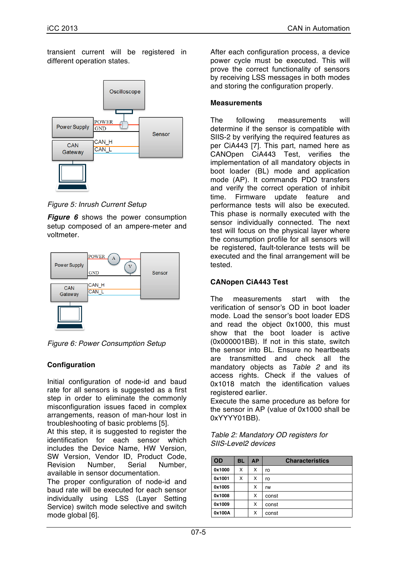transient current will be registered in different operation states.



*Figure 5: Inrush Current Setup*

*Figure 6* shows the power consumption setup composed of an ampere-meter and voltmeter.



*Figure 6: Power Consumption Setup*

# **Configuration**

Initial configuration of node-id and baud rate for all sensors is suggested as a first step in order to eliminate the commonly misconfiguration issues faced in complex arrangements, reason of man-hour lost in troubleshooting of basic problems [5].

At this step, it is suggested to register the identification for each sensor which includes the Device Name, HW Version, SW Version, Vendor ID, Product Code, Revision Number, Serial Number, available in sensor documentation.

The proper configuration of node-id and baud rate will be executed for each sensor individually using LSS (Layer Setting Service) switch mode selective and switch mode global [6].

After each configuration process, a device power cycle must be executed. This will prove the correct functionality of sensors by receiving LSS messages in both modes and storing the configuration properly.

# **Measurements**

The following measurements will determine if the sensor is compatible with SIIS-2 by verifying the required features as per CiA443 [7]. This part, named here as CANOpen CiA443 Test, verifies the implementation of all mandatory objects in boot loader (BL) mode and application mode (AP). It commands PDO transfers and verify the correct operation of inhibit time. Firmware update feature and performance tests will also be executed. This phase is normally executed with the sensor individually connected. The next test will focus on the physical layer where the consumption profile for all sensors will be registered, fault-tolerance tests will be executed and the final arrangement will be tested.

# **CANopen CiA443 Test**

The measurements start with the verification of sensor's OD in boot loader mode. Load the sensor's boot loader EDS and read the object 0x1000, this must show that the boot loader is active (0x000001BB). If not in this state, switch the sensor into BL. Ensure no heartbeats are transmitted and check all the mandatory objects as *Table 2* and its access rights. Check if the values of 0x1018 match the identification values registered earlier.

Execute the same procedure as before for the sensor in AP (value of 0x1000 shall be 0xYYYY01BB).

| Table 2: Mandatory OD registers for |  |
|-------------------------------------|--|
| SIIS-Level2 devices                 |  |

| <b>OD</b> | BL | <b>AP</b> | <b>Characteristics</b> |
|-----------|----|-----------|------------------------|
| 0x1000    | х  | x         | ro                     |
| 0x1001    | х  | x         | ro                     |
| 0x1005    |    | x         | rw                     |
| 0x1008    |    | х         | const                  |
| 0x1009    |    | х         | const                  |
| 0x100A    |    | x         | const                  |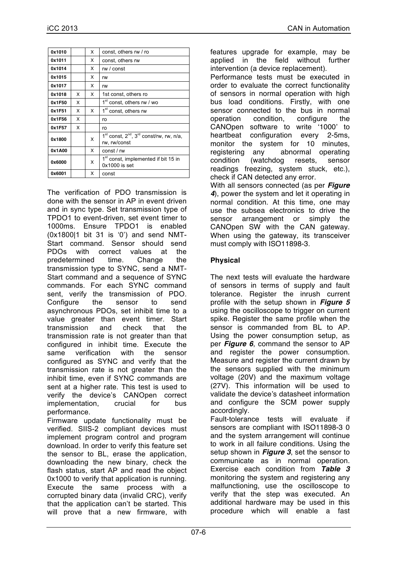| 0x1010 |   | x | const, others rw / ro                                              |
|--------|---|---|--------------------------------------------------------------------|
| 0x1011 |   | x | const, others rw                                                   |
| 0x1014 |   | x | rw / const                                                         |
| 0x1015 |   | x | rw                                                                 |
| 0x1017 |   | x | rw                                                                 |
| 0x1018 | x | x | 1st const, others ro                                               |
| 0x1F50 | x |   | 1 <sup>st</sup> const, others rw / wo                              |
| 0x1F51 | x | x | 1 <sup>st</sup> const, others rw                                   |
| 0x1F56 | x |   | ro                                                                 |
| 0x1F57 | x |   | ro                                                                 |
| 0x1800 |   | x | $1st$ const, $2nd$ , $3rd$ const/rw, rw, n/a,<br>rw, rw/const      |
| 0x1A00 |   | x | const / rw                                                         |
| 0x6000 |   | x | 1 <sup>st</sup> const, implemented if bit 15 in<br>$0x1000$ is set |
| 0x6001 |   | X | const                                                              |

The verification of PDO transmission is done with the sensor in AP in event driven and in sync type. Set transmission type of TPDO1 to event-driven, set event timer to 1000ms. Ensure TPDO1 is enabled (0x1800|1 bit 31 is '0') and send NMT-Start command. Sensor should send PDOs with correct values at the predetermined time. Change the transmission type to SYNC, send a NMT-Start command and a sequence of SYNC commands. For each SYNC command sent, verify the transmission of PDO. Configure the sensor to send asynchronous PDOs, set inhibit time to a value greater than event timer. Start transmission and check that the transmission rate is not greater than that configured in inhibit time. Execute the same verification with the sensor configured as SYNC and verify that the transmission rate is not greater than the inhibit time, even if SYNC commands are sent at a higher rate. This test is used to verify the device's CANOpen correct implementation, crucial for bus performance.

Firmware update functionality must be verified. SIIS-2 compliant devices must implement program control and program download. In order to verify this feature set the sensor to BL, erase the application, downloading the new binary, check the flash status, start AP and read the object 0x1000 to verify that application is running. Execute the same process with a corrupted binary data (invalid CRC), verify that the application can't be started. This will prove that a new firmware, with

features upgrade for example, may be applied in the field without further intervention (a device replacement).

Performance tests must be executed in order to evaluate the correct functionality of sensors in normal operation with high bus load conditions. Firstly, with one sensor connected to the bus in normal operation condition, configure the CANOpen software to write '1000' to heartbeat configuration every 2-5ms, monitor the system for 10 minutes, registering any abnormal operating condition (watchdog resets, sensor readings freezing, system stuck, etc.), check if CAN detected any error.

With all sensors connected (as per *Figure 4*), power the system and let it operating in normal condition. At this time, one may use the subsea electronics to drive the sensor arrangement or simply the CANOpen SW with the CAN gateway. When using the gateway, its transceiver must comply with ISO11898-3.

# **Physical**

The next tests will evaluate the hardware of sensors in terms of supply and fault tolerance. Register the inrush current profile with the setup shown in *Figure 5* using the oscilloscope to trigger on current spike. Register the same profile when the sensor is commanded from BL to AP. Using the power consumption setup, as per *Figure 6*, command the sensor to AP and register the power consumption. Measure and register the current drawn by the sensors supplied with the minimum voltage (20V) and the maximum voltage (27V). This information will be used to validate the device's datasheet information and configure the SCM power supply accordingly.

Fault-tolerance tests will evaluate if sensors are compliant with ISO11898-3 0 and the system arrangement will continue to work in all failure conditions. Using the setup shown in *Figure 3*, set the sensor to communicate as in normal operation. Exercise each condition from *Table 3* monitoring the system and registering any malfunctioning, use the oscilloscope to verify that the step was executed. An additional hardware may be used in this procedure which will enable a fast